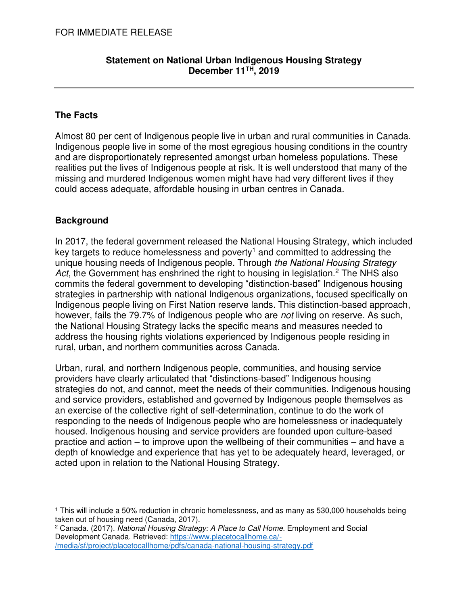#### **Statement on National Urban Indigenous Housing Strategy December 11TH, 2019**

## **The Facts**

Almost 80 per cent of Indigenous people live in urban and rural communities in Canada. Indigenous people live in some of the most egregious housing conditions in the country and are disproportionately represented amongst urban homeless populations. These realities put the lives of Indigenous people at risk. It is well understood that many of the missing and murdered Indigenous women might have had very different lives if they could access adequate, affordable housing in urban centres in Canada.

## **Background**

In 2017, the federal government released the National Housing Strategy, which included key targets to reduce homelessness and poverty<sup>1</sup> and committed to addressing the unique housing needs of Indigenous people. Through the National Housing Strategy Act, the Government has enshrined the right to housing in legislation.<sup>2</sup> The NHS also commits the federal government to developing "distinction-based" Indigenous housing strategies in partnership with national Indigenous organizations, focused specifically on Indigenous people living on First Nation reserve lands. This distinction-based approach, however, fails the 79.7% of Indigenous people who are not living on reserve. As such, the National Housing Strategy lacks the specific means and measures needed to address the housing rights violations experienced by Indigenous people residing in rural, urban, and northern communities across Canada.

Urban, rural, and northern Indigenous people, communities, and housing service providers have clearly articulated that "distinctions-based" Indigenous housing strategies do not, and cannot, meet the needs of their communities. Indigenous housing and service providers, established and governed by Indigenous people themselves as an exercise of the collective right of self-determination, continue to do the work of responding to the needs of Indigenous people who are homelessness or inadequately housed. Indigenous housing and service providers are founded upon culture-based practice and action – to improve upon the wellbeing of their communities – and have a depth of knowledge and experience that has yet to be adequately heard, leveraged, or acted upon in relation to the National Housing Strategy.

 $\overline{a}$ 1 This will include a 50% reduction in chronic homelessness, and as many as 530,000 households being taken out of housing need (Canada, 2017).

<sup>&</sup>lt;sup>2</sup> Canada. (2017). *National Housing Strategy: A Place to Call Home.* Employment and Social Development Canada. Retrieved: [https://www.placetocallhome.ca/-](https://www.placetocallhome.ca/-/media/sf/project/placetocallhome/pdfs/canada-national-housing-strategy.pdf) [/media/sf/project/placetocallhome/pdfs/canada-national-housing-strategy.pdf](https://www.placetocallhome.ca/-/media/sf/project/placetocallhome/pdfs/canada-national-housing-strategy.pdf)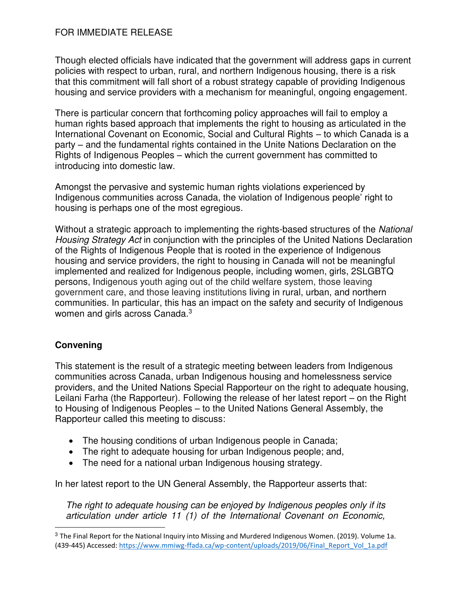#### FOR IMMEDIATE RELEASE

Though elected officials have indicated that the government will address gaps in current policies with respect to urban, rural, and northern Indigenous housing, there is a risk that this commitment will fall short of a robust strategy capable of providing Indigenous housing and service providers with a mechanism for meaningful, ongoing engagement.

There is particular concern that forthcoming policy approaches will fail to employ a human rights based approach that implements the right to housing as articulated in the International Covenant on Economic, Social and Cultural Rights – to which Canada is a party – and the fundamental rights contained in the Unite Nations Declaration on the Rights of Indigenous Peoples – which the current government has committed to introducing into domestic law.

Amongst the pervasive and systemic human rights violations experienced by Indigenous communities across Canada, the violation of Indigenous people' right to housing is perhaps one of the most egregious.

Without a strategic approach to implementing the rights-based structures of the National Housing Strategy Act in conjunction with the principles of the United Nations Declaration of the Rights of Indigenous People that is rooted in the experience of Indigenous housing and service providers, the right to housing in Canada will not be meaningful implemented and realized for Indigenous people, including women, girls, 2SLGBTQ persons, Indigenous youth aging out of the child welfare system, those leaving government care, and those leaving institutions living in rural, urban, and northern communities. In particular, this has an impact on the safety and security of Indigenous women and girls across Canada. $3$ 

## **Convening**

 $\overline{a}$ 

This statement is the result of a strategic meeting between leaders from Indigenous communities across Canada, urban Indigenous housing and homelessness service providers, and the United Nations Special Rapporteur on the right to adequate housing, Leilani Farha (the Rapporteur). Following the release of her latest report – on the Right to Housing of Indigenous Peoples – to the United Nations General Assembly, the Rapporteur called this meeting to discuss:

- The housing conditions of urban Indigenous people in Canada;
- The right to adequate housing for urban Indigenous people; and,
- The need for a national urban Indigenous housing strategy.

In her latest report to the UN General Assembly, the Rapporteur asserts that:

The right to adequate housing can be enjoyed by Indigenous peoples only if its articulation under article 11 (1) of the International Covenant on Economic,

<sup>3</sup> The Final Report for the National Inquiry into Missing and Murdered Indigenous Women. (2019). Volume 1a. (439-445) Accessed: [https://www.mmiwg-ffada.ca/wp-content/uploads/2019/06/Final\\_Report\\_Vol\\_1a.pdf](https://www.mmiwg-ffada.ca/wp-content/uploads/2019/06/Final_Report_Vol_1a.pdf)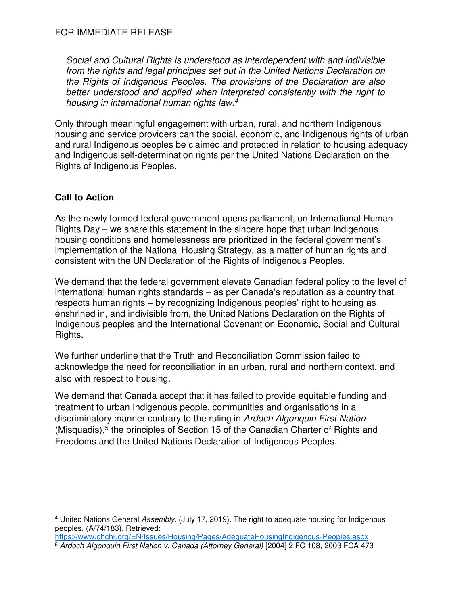Social and Cultural Rights is understood as interdependent with and indivisible from the rights and legal principles set out in the United Nations Declaration on the Rights of Indigenous Peoples. The provisions of the Declaration are also better understood and applied when interpreted consistently with the right to housing in international human rights law.<sup>4</sup>

Only through meaningful engagement with urban, rural, and northern Indigenous housing and service providers can the social, economic, and Indigenous rights of urban and rural Indigenous peoples be claimed and protected in relation to housing adequacy and Indigenous self-determination rights per the United Nations Declaration on the Rights of Indigenous Peoples.

# **Call to Action**

As the newly formed federal government opens parliament, on International Human Rights Day – we share this statement in the sincere hope that urban Indigenous housing conditions and homelessness are prioritized in the federal government's implementation of the National Housing Strategy, as a matter of human rights and consistent with the UN Declaration of the Rights of Indigenous Peoples.

We demand that the federal government elevate Canadian federal policy to the level of international human rights standards – as per Canada's reputation as a country that respects human rights – by recognizing Indigenous peoples' right to housing as enshrined in, and indivisible from, the United Nations Declaration on the Rights of Indigenous peoples and the International Covenant on Economic, Social and Cultural Rights.

We further underline that the Truth and Reconciliation Commission failed to acknowledge the need for reconciliation in an urban, rural and northern context, and also with respect to housing.

We demand that Canada accept that it has failed to provide equitable funding and treatment to urban Indigenous people, communities and organisations in a discriminatory manner contrary to the ruling in Ardoch Algonquin First Nation (Misquadis),<sup>5</sup> the principles of Section 15 of the Canadian Charter of Rights and Freedoms and the United Nations Declaration of Indigenous Peoples.

 $\overline{a}$ <sup>4</sup> United Nations General Assembly. (July 17, 2019). The right to adequate housing for Indigenous peoples. (A/74/183). Retrieved:

<https://www.ohchr.org/EN/Issues/Housing/Pages/AdequateHousingIndigenous-Peoples.aspx> <sup>5</sup> Ardoch Algonquin First Nation v. Canada (Attorney General) [2004] 2 FC 108, 2003 FCA 473